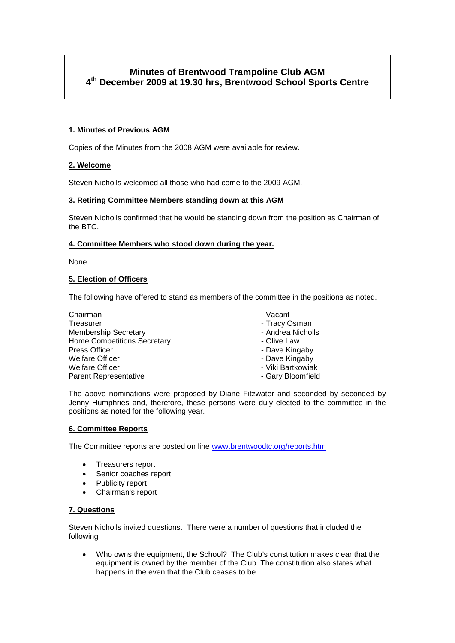# **Minutes of Brentwood Trampoline Club AGM 4th December 2009 at 19.30 hrs, Brentwood School Sports Centre**

### **1. Minutes of Previous AGM**

Copies of the Minutes from the 2008 AGM were available for review.

#### **2. Welcome**

Steven Nicholls welcomed all those who had come to the 2009 AGM.

#### **3. Retiring Committee Members standing down at this AGM**

Steven Nicholls confirmed that he would be standing down from the position as Chairman of the BTC.

#### **4. Committee Members who stood down during the year.**

None

#### **5. Election of Officers**

The following have offered to stand as members of the committee in the positions as noted.

| Chairman                           | - Vacant          |
|------------------------------------|-------------------|
| Treasurer                          | - Tracy Osman     |
| <b>Membership Secretary</b>        | - Andrea Nicholls |
| <b>Home Competitions Secretary</b> | - Olive Law       |
| <b>Press Officer</b>               | - Dave Kingaby    |
| <b>Welfare Officer</b>             | - Dave Kingaby    |
| <b>Welfare Officer</b>             | - Viki Bartkowiak |
| <b>Parent Representative</b>       | - Gary Bloomfield |
|                                    |                   |

The above nominations were proposed by Diane Fitzwater and seconded by seconded by Jenny Humphries and, therefore, these persons were duly elected to the committee in the positions as noted for the following year.

#### **6. Committee Reports**

The Committee reports are posted on line [www.brentwoodtc.org/reports.htm](http://www.brentwoodtc.org/reports.htm)

- Treasurers report
- Senior coaches report
- Publicity report
- Chairman's report

#### **7. Questions**

Steven Nicholls invited questions. There were a number of questions that included the following

• Who owns the equipment, the School? The Club's constitution makes clear that the equipment is owned by the member of the Club. The constitution also states what happens in the even that the Club ceases to be.